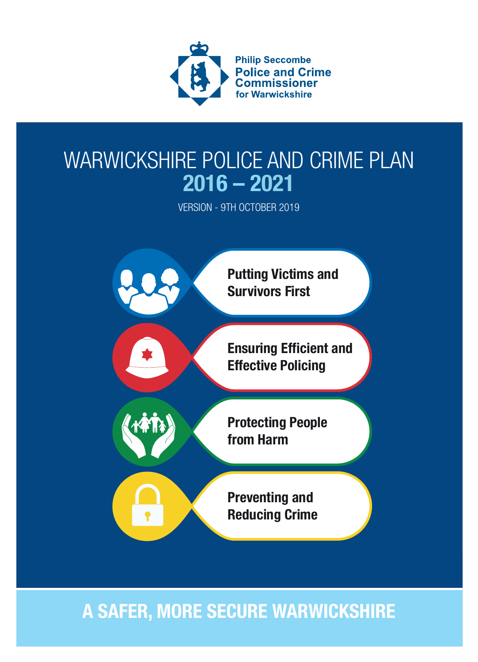

### WARWICKSHIRE POLICE AND CRIME PLAN 2016 – 2021

VERSION - 9TH OCTOBER 2019



### A SAFER, MORE SECURE WARWICKSHIRE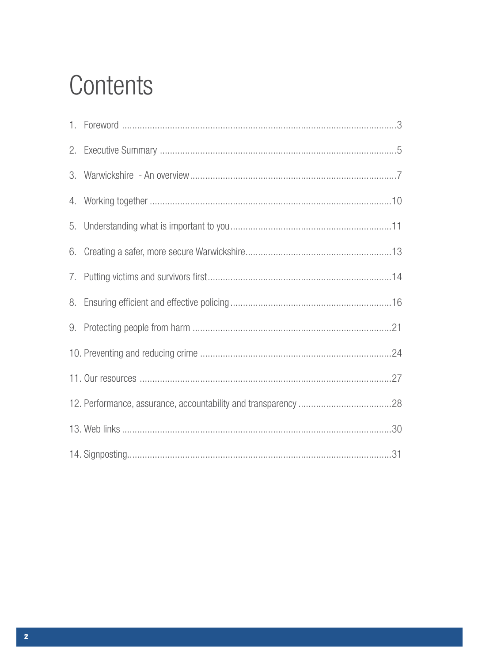## Contents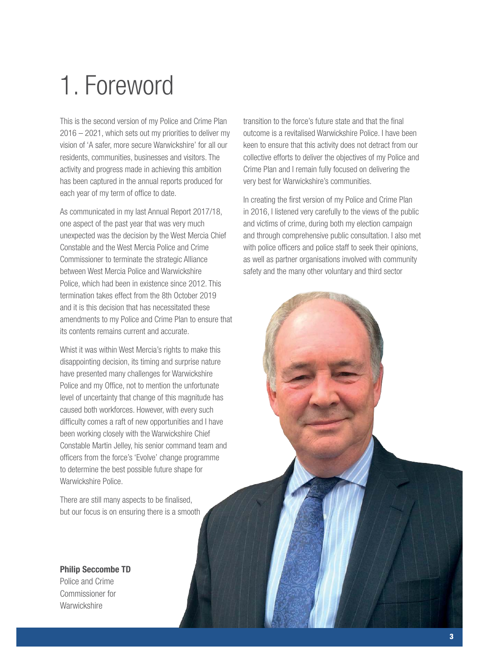## 1. Foreword

This is the second version of my Police and Crime Plan 2016 – 2021, which sets out my priorities to deliver my vision of 'A safer, more secure Warwickshire' for all our residents, communities, businesses and visitors. The activity and progress made in achieving this ambition has been captured in the annual reports produced for each year of my term of office to date.

As communicated in my last Annual Report 2017/18, one aspect of the past year that was very much unexpected was the decision by the West Mercia Chief Constable and the West Mercia Police and Crime Commissioner to terminate the strategic Alliance between West Mercia Police and Warwickshire Police, which had been in existence since 2012. This termination takes effect from the 8th October 2019 and it is this decision that has necessitated these amendments to my Police and Crime Plan to ensure that its contents remains current and accurate.

Whist it was within West Mercia's rights to make this disappointing decision, its timing and surprise nature have presented many challenges for Warwickshire Police and my Office, not to mention the unfortunate level of uncertainty that change of this magnitude has caused both workforces. However, with every such difficulty comes a raft of new opportunities and I have been working closely with the Warwickshire Chief Constable Martin Jelley, his senior command team and officers from the force's 'Evolve' change programme to determine the best possible future shape for Warwickshire Police.

There are still many aspects to be finalised, but our focus is on ensuring there is a smooth

Philip Seccombe TD Police and Crime Commissioner for **Warwickshire** 

transition to the force's future state and that the final outcome is a revitalised Warwickshire Police. I have been keen to ensure that this activity does not detract from our collective efforts to deliver the objectives of my Police and Crime Plan and I remain fully focused on delivering the very best for Warwickshire's communities.

In creating the first version of my Police and Crime Plan in 2016, I listened very carefully to the views of the public and victims of crime, during both my election campaign and through comprehensive public consultation. I also met with police officers and police staff to seek their opinions, as well as partner organisations involved with community safety and the many other voluntary and third sector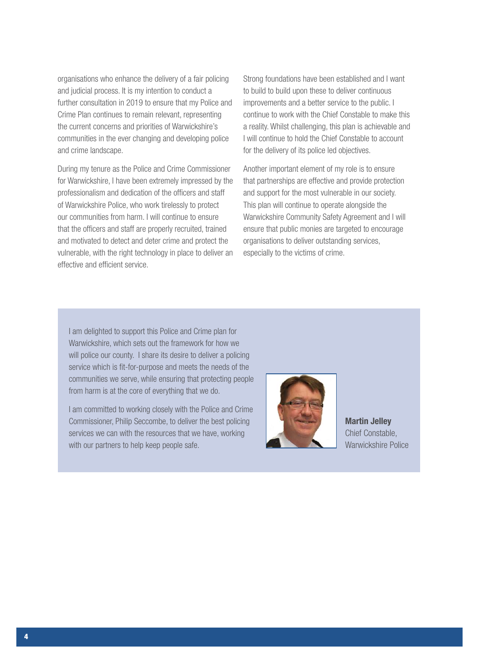organisations who enhance the delivery of a fair policing and judicial process. It is my intention to conduct a further consultation in 2019 to ensure that my Police and Crime Plan continues to remain relevant, representing the current concerns and priorities of Warwickshire's communities in the ever changing and developing police and crime landscape.

During my tenure as the Police and Crime Commissioner for Warwickshire, I have been extremely impressed by the professionalism and dedication of the officers and staff of Warwickshire Police, who work tirelessly to protect our communities from harm. I will continue to ensure that the officers and staff are properly recruited, trained and motivated to detect and deter crime and protect the vulnerable, with the right technology in place to deliver an effective and efficient service.

Strong foundations have been established and I want to build to build upon these to deliver continuous improvements and a better service to the public. I continue to work with the Chief Constable to make this a reality. Whilst challenging, this plan is achievable and I will continue to hold the Chief Constable to account for the delivery of its police led objectives.

Another important element of my role is to ensure that partnerships are effective and provide protection and support for the most vulnerable in our society. This plan will continue to operate alongside the Warwickshire Community Safety Agreement and I will ensure that public monies are targeted to encourage organisations to deliver outstanding services, especially to the victims of crime.

I am delighted to support this Police and Crime plan for Warwickshire, which sets out the framework for how we will police our county. I share its desire to deliver a policing service which is fit-for-purpose and meets the needs of the communities we serve, while ensuring that protecting people from harm is at the core of everything that we do.

I am committed to working closely with the Police and Crime Commissioner, Philip Seccombe, to deliver the best policing services we can with the resources that we have, working with our partners to help keep people safe.



Martin Jelley Chief Constable, Warwickshire Police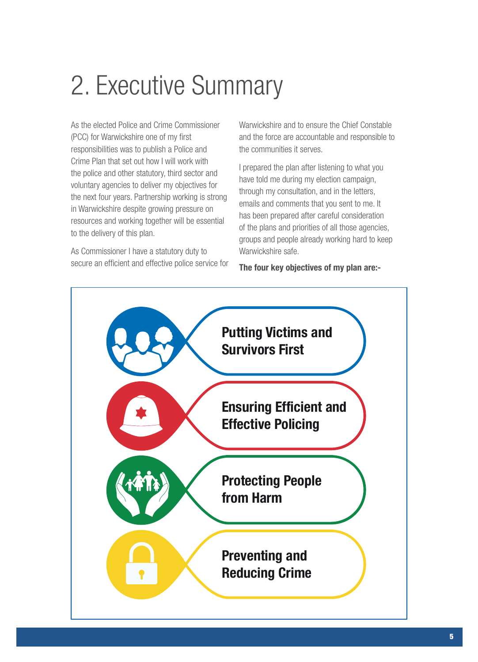## 2. Executive Summary

As the elected Police and Crime Commissioner (PCC) for Warwickshire one of my first responsibilities was to publish a Police and Crime Plan that set out how I will work with the police and other statutory, third sector and voluntary agencies to deliver my objectives for the next four years. Partnership working is strong in Warwickshire despite growing pressure on resources and working together will be essential to the delivery of this plan.

As Commissioner I have a statutory duty to secure an efficient and effective police service for Warwickshire and to ensure the Chief Constable and the force are accountable and responsible to the communities it serves.

I prepared the plan after listening to what you have told me during my election campaign, through my consultation, and in the letters, emails and comments that you sent to me. It has been prepared after careful consideration of the plans and priorities of all those agencies, groups and people already working hard to keep Warwickshire safe.

The four key objectives of my plan are:-

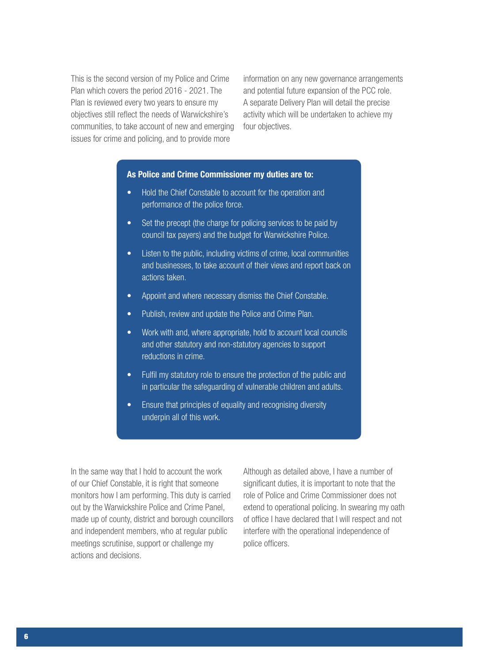This is the second version of my Police and Crime Plan which covers the period 2016 - 2021. The Plan is reviewed every two years to ensure my objectives still reflect the needs of Warwickshire's communities, to take account of new and emerging issues for crime and policing, and to provide more

information on any new governance arrangements and potential future expansion of the PCC role. A separate Delivery Plan will detail the precise activity which will be undertaken to achieve my four objectives.

#### As Police and Crime Commissioner my duties are to:

- Hold the Chief Constable to account for the operation and performance of the police force.
- Set the precept (the charge for policing services to be paid by council tax payers) and the budget for Warwickshire Police.
- Listen to the public, including victims of crime, local communities and businesses, to take account of their views and report back on actions taken.
- Appoint and where necessary dismiss the Chief Constable.
- Publish, review and update the Police and Crime Plan.
- Work with and, where appropriate, hold to account local councils and other statutory and non-statutory agencies to support reductions in crime.
- Fulfil my statutory role to ensure the protection of the public and in particular the safeguarding of vulnerable children and adults.
- Ensure that principles of equality and recognising diversity underpin all of this work.

In the same way that I hold to account the work of our Chief Constable, it is right that someone monitors how I am performing. This duty is carried out by the Warwickshire Police and Crime Panel, made up of county, district and borough councillors and independent members, who at regular public meetings scrutinise, support or challenge my actions and decisions.

Although as detailed above, I have a number of significant duties, it is important to note that the role of Police and Crime Commissioner does not extend to operational policing. In swearing my oath of office I have declared that I will respect and not interfere with the operational independence of police officers.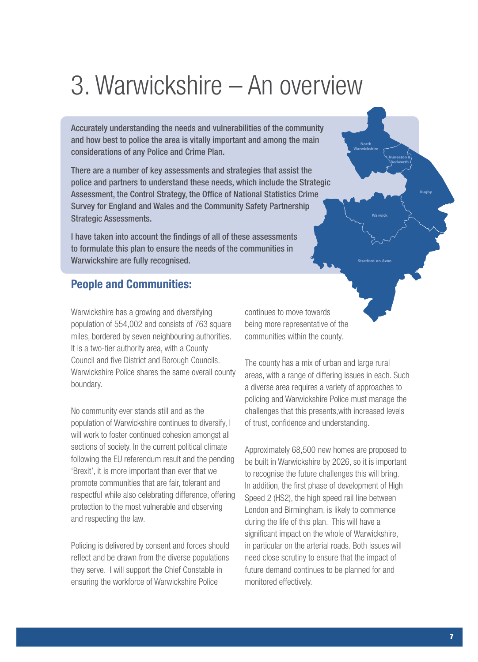## 3. Warwickshire – An overview

Accurately understanding the needs and vulnerabilities of the community and how best to police the area is vitally important and among the main considerations of any Police and Crime Plan.

There are a number of key assessments and strategies that assist the police and partners to understand these needs, which include the Strategic Assessment, the Control Strategy, the Office of National Statistics Crime Survey for England and Wales and the Community Safety Partnership Strategic Assessments.

I have taken into account the findings of all of these assessments to formulate this plan to ensure the needs of the communities in Warwickshire are fully recognised.

#### People and Communities:

Warwickshire has a growing and diversifying population of 554,002 and consists of 763 square miles, bordered by seven neighbouring authorities. It is a two-tier authority area, with a County Council and five District and Borough Councils. Warwickshire Police shares the same overall county boundary.

No community ever stands still and as the population of Warwickshire continues to diversify, I will work to foster continued cohesion amongst all sections of society. In the current political climate following the EU referendum result and the pending 'Brexit', it is more important than ever that we promote communities that are fair, tolerant and respectful while also celebrating difference, offering protection to the most vulnerable and observing and respecting the law.

Policing is delivered by consent and forces should reflect and be drawn from the diverse populations they serve. I will support the Chief Constable in ensuring the workforce of Warwickshire Police

continues to move towards being more representative of the communities within the county.

The county has a mix of urban and large rural areas, with a range of differing issues in each. Such a diverse area requires a variety of approaches to policing and Warwickshire Police must manage the challenges that this presents,with increased levels of trust, confidence and understanding.

**Warwick**

**North Warwickshire**

> **Nuneaton & Bedworth**

**Stratford-on-Avon**

**Rugby**

Approximately 68,500 new homes are proposed to be built in Warwickshire by 2026, so it is important to recognise the future challenges this will bring. In addition, the first phase of development of High Speed 2 (HS2), the high speed rail line between London and Birmingham, is likely to commence during the life of this plan. This will have a significant impact on the whole of Warwickshire, in particular on the arterial roads. Both issues will need close scrutiny to ensure that the impact of future demand continues to be planned for and monitored effectively.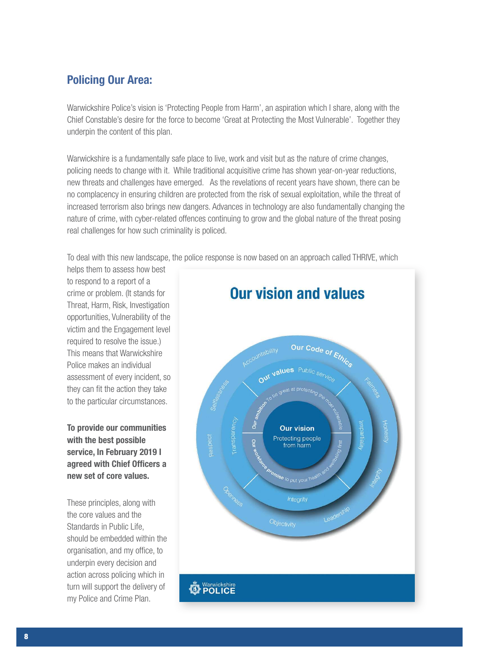#### Policing Our Area:

Warwickshire Police's vision is 'Protecting People from Harm', an aspiration which I share, along with the Chief Constable's desire for the force to become 'Great at Protecting the Most Vulnerable'. Together they underpin the content of this plan.

Warwickshire is a fundamentally safe place to live, work and visit but as the nature of crime changes, policing needs to change with it. While traditional acquisitive crime has shown year-on-year reductions, new threats and challenges have emerged. As the revelations of recent years have shown, there can be no complacency in ensuring children are protected from the risk of sexual exploitation, while the threat of increased terrorism also brings new dangers. Advances in technology are also fundamentally changing the nature of crime, with cyber-related offences continuing to grow and the global nature of the threat posing real challenges for how such criminality is policed.

To deal with this new landscape, the police response is now based on an approach called THRIVE, which

helps them to assess how best to respond to a report of a crime or problem. (It stands for Threat, Harm, Risk, Investigation opportunities, Vulnerability of the victim and the Engagement level required to resolve the issue.) This means that Warwickshire Police makes an individual assessment of every incident, so they can fit the action they take to the particular circumstances.

To provide our communities with the best possible service, In February 2019 I agreed with Chief Officers a new set of core values.

These principles, along with the core values and the Standards in Public Life. should be embedded within the organisation, and my office, to underpin every decision and action across policing which in turn will support the delivery of my Police and Crime Plan.

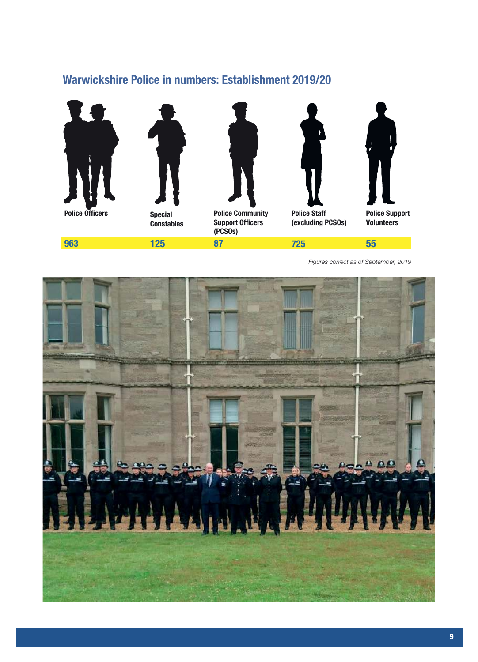### Warwickshire Police in numbers: Establishment 2019/20



**963**



**Constables**

**125**



**Police Community Support Officers (PCSOs) 87**



**Police Staff (excluding PCSOs)**

**725**



**Police Support Volunteers**

*Figures correct as of September, 2019*

**55**

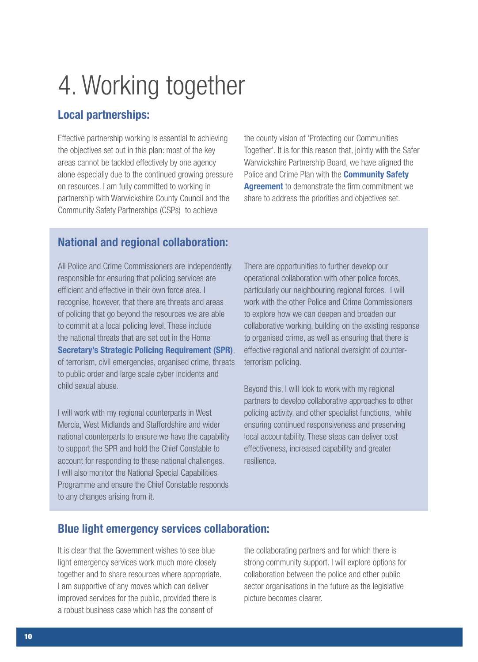## 4. Working together

#### Local partnerships:

Effective partnership working is essential to achieving the objectives set out in this plan: most of the key areas cannot be tackled effectively by one agency alone especially due to the continued growing pressure on resources. I am fully committed to working in partnership with Warwickshire County Council and the Community Safety Partnerships (CSPs) to achieve

the county vision of 'Protecting our Communities Together'. It is for this reason that, jointly with the Safer Warwickshire Partnership Board, we have aligned the Police and Crime Plan with the **Community Safety Agreement** to demonstrate the firm commitment we share to address the priorities and objectives set.

#### National and regional collaboration:

All Police and Crime Commissioners are independently responsible for ensuring that policing services are efficient and effective in their own force area. I recognise, however, that there are threats and areas of policing that go beyond the resources we are able to commit at a local policing level. These include the national threats that are set out in the Home Secretary's Strategic Policing Requirement (SPR), of terrorism, civil emergencies, organised crime, threats to public order and large scale cyber incidents and child sexual abuse.

I will work with my regional counterparts in West Mercia, West Midlands and Staffordshire and wider national counterparts to ensure we have the capability to support the SPR and hold the Chief Constable to account for responding to these national challenges. I will also monitor the National Special Capabilities Programme and ensure the Chief Constable responds to any changes arising from it.

There are opportunities to further develop our operational collaboration with other police forces, particularly our neighbouring regional forces. I will work with the other Police and Crime Commissioners to explore how we can deepen and broaden our collaborative working, building on the existing response to organised crime, as well as ensuring that there is effective regional and national oversight of counterterrorism policing.

Beyond this, I will look to work with my regional partners to develop collaborative approaches to other policing activity, and other specialist functions, while ensuring continued responsiveness and preserving local accountability. These steps can deliver cost effectiveness, increased capability and greater resilience.

#### Blue light emergency services collaboration:

It is clear that the Government wishes to see blue light emergency services work much more closely together and to share resources where appropriate. I am supportive of any moves which can deliver improved services for the public, provided there is a robust business case which has the consent of

the collaborating partners and for which there is strong community support. I will explore options for collaboration between the police and other public sector organisations in the future as the legislative picture becomes clearer.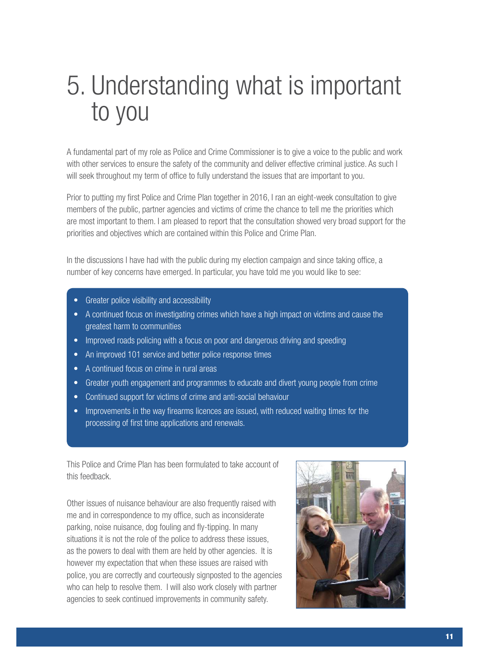## 5. Understanding what is important to you

A fundamental part of my role as Police and Crime Commissioner is to give a voice to the public and work with other services to ensure the safety of the community and deliver effective criminal justice. As such I will seek throughout my term of office to fully understand the issues that are important to you.

Prior to putting my first Police and Crime Plan together in 2016, I ran an eight-week consultation to give members of the public, partner agencies and victims of crime the chance to tell me the priorities which are most important to them. I am pleased to report that the consultation showed very broad support for the priorities and objectives which are contained within this Police and Crime Plan.

In the discussions I have had with the public during my election campaign and since taking office, a number of key concerns have emerged. In particular, you have told me you would like to see:

- Greater police visibility and accessibility
- A continued focus on investigating crimes which have a high impact on victims and cause the greatest harm to communities
- Improved roads policing with a focus on poor and dangerous driving and speeding
- An improved 101 service and better police response times
- A continued focus on crime in rural areas
- Greater youth engagement and programmes to educate and divert young people from crime
- Continued support for victims of crime and anti-social behaviour
- Improvements in the way firearms licences are issued, with reduced waiting times for the processing of first time applications and renewals.

This Police and Crime Plan has been formulated to take account of this feedback.

Other issues of nuisance behaviour are also frequently raised with me and in correspondence to my office, such as inconsiderate parking, noise nuisance, dog fouling and fly-tipping. In many situations it is not the role of the police to address these issues, as the powers to deal with them are held by other agencies. It is however my expectation that when these issues are raised with police, you are correctly and courteously signposted to the agencies who can help to resolve them. I will also work closely with partner agencies to seek continued improvements in community safety.

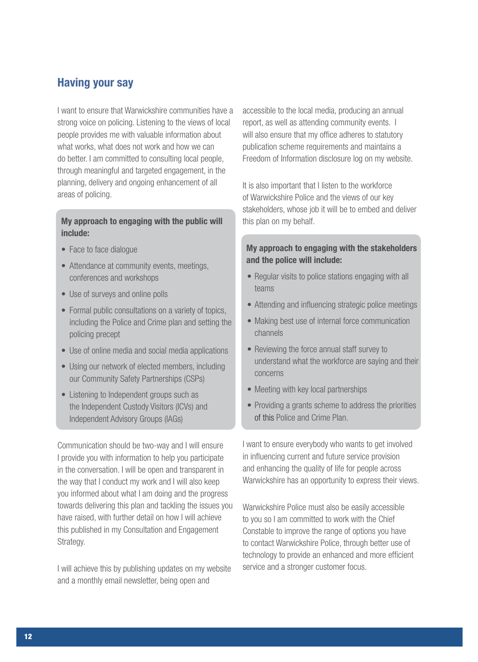#### Having your say

I want to ensure that Warwickshire communities have a strong voice on policing. Listening to the views of local people provides me with valuable information about what works, what does not work and how we can do better. I am committed to consulting local people, through meaningful and targeted engagement, in the planning, delivery and ongoing enhancement of all areas of policing.

#### My approach to engaging with the public will include:

- Face to face dialogue
- Attendance at community events, meetings, conferences and workshops
- Use of surveys and online polls
- Formal public consultations on a variety of topics, including the Police and Crime plan and setting the policing precept
- Use of online media and social media applications
- Using our network of elected members, including our Community Safety Partnerships (CSPs)
- Listening to Independent groups such as the Independent Custody Visitors (ICVs) and Independent Advisory Groups (IAGs)

Communication should be two-way and I will ensure I provide you with information to help you participate in the conversation. I will be open and transparent in the way that I conduct my work and I will also keep you informed about what I am doing and the progress towards delivering this plan and tackling the issues you have raised, with further detail on how I will achieve this published in my Consultation and Engagement Strategy.

I will achieve this by publishing updates on my website and a monthly email newsletter, being open and

accessible to the local media, producing an annual report, as well as attending community events. I will also ensure that my office adheres to statutory publication scheme requirements and maintains a Freedom of Information disclosure log on my website.

It is also important that I listen to the workforce of Warwickshire Police and the views of our key stakeholders, whose job it will be to embed and deliver this plan on my behalf.

#### My approach to engaging with the stakeholders and the police will include:

- Regular visits to police stations engaging with all teams
- Attending and influencing strategic police meetings
- Making best use of internal force communication channels
- Reviewing the force annual staff survey to understand what the workforce are saying and their concerns
- Meeting with key local partnerships
- Providing a grants scheme to address the priorities of this Police and Crime Plan.

I want to ensure everybody who wants to get involved in influencing current and future service provision and enhancing the quality of life for people across Warwickshire has an opportunity to express their views.

Warwickshire Police must also be easily accessible to you so I am committed to work with the Chief Constable to improve the range of options you have to contact Warwickshire Police, through better use of technology to provide an enhanced and more efficient service and a stronger customer focus.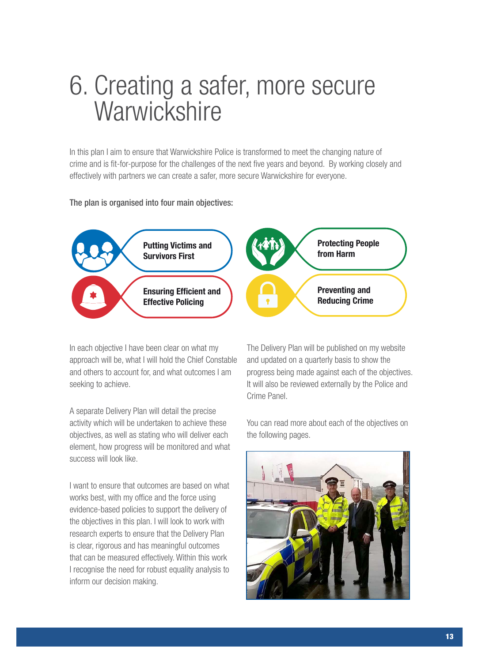## 6. Creating a safer, more secure **Warwickshire**

In this plan I aim to ensure that Warwickshire Police is transformed to meet the changing nature of crime and is fit-for-purpose for the challenges of the next five years and beyond. By working closely and effectively with partners we can create a safer, more secure Warwickshire for everyone.

#### The plan is organised into four main objectives:



In each objective I have been clear on what my approach will be, what I will hold the Chief Constable and others to account for, and what outcomes I am seeking to achieve.

A separate Delivery Plan will detail the precise activity which will be undertaken to achieve these objectives, as well as stating who will deliver each element, how progress will be monitored and what success will look like.

I want to ensure that outcomes are based on what works best, with my office and the force using evidence-based policies to support the delivery of the objectives in this plan. I will look to work with research experts to ensure that the Delivery Plan is clear, rigorous and has meaningful outcomes that can be measured effectively. Within this work I recognise the need for robust equality analysis to inform our decision making.

The Delivery Plan will be published on my website and updated on a quarterly basis to show the progress being made against each of the objectives. It will also be reviewed externally by the Police and Crime Panel.

You can read more about each of the objectives on the following pages.

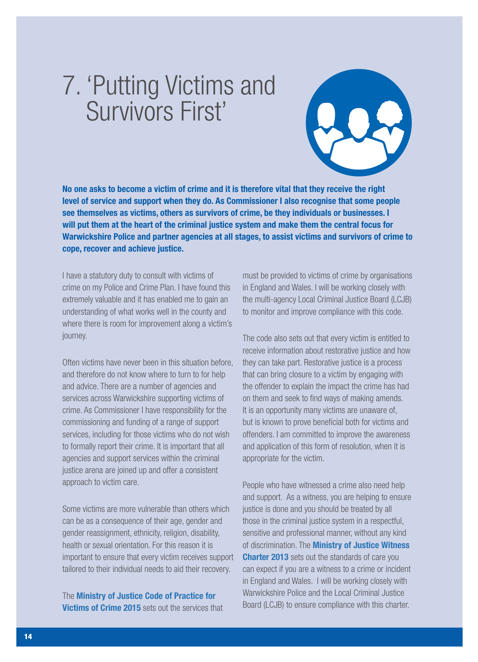## 7. 'Putting Victims and Survivors First'



No one asks to become a victim of crime and it is therefore vital that they receive the right level of service and support when they do. As Commissioner I also recognise that some people see themselves as victims, others as survivors of crime, be they individuals or businesses. I will put them at the heart of the criminal justice system and make them the central focus for Warwickshire Police and partner agencies at all stages, to assist victims and survivors of crime to cope, recover and achieve justice.

I have a statutory duty to consult with victims of crime on my Police and Crime Plan. I have found this extremely valuable and it has enabled me to gain an understanding of what works well in the county and where there is room for improvement along a victim's journey.

Often victims have never been in this situation before, and therefore do not know where to turn to for help and advice. There are a number of agencies and services across Warwickshire supporting victims of crime. As Commissioner I have responsibility for the commissioning and funding of a range of support services, including for those victims who do not wish to formally report their crime. It is important that all agencies and support services within the criminal justice arena are joined up and offer a consistent approach to victim care.

Some victims are more vulnerable than others which can be as a consequence of their age, gender and gender reassignment, ethnicity, religion, disability, health or sexual orientation. For this reason it is important to ensure that every victim receives support tailored to their individual needs to aid their recovery.

The Ministry of Justice Code of Practice for **Victims of Crime 2015** sets out the services that must be provided to victims of crime by organisations in England and Wales. I will be working closely with the multi-agency Local Criminal Justice Board (LCJB) to monitor and improve compliance with this code.

The code also sets out that every victim is entitled to receive information about restorative justice and how they can take part. Restorative justice is a process that can bring closure to a victim by engaging with the offender to explain the impact the crime has had on them and seek to find ways of making amends. It is an opportunity many victims are unaware of, but is known to prove beneficial both for victims and offenders. I am committed to improve the awareness and application of this form of resolution, when it is appropriate for the victim.

People who have witnessed a crime also need help and support. As a witness, you are helping to ensure justice is done and you should be treated by all those in the criminal justice system in a respectful, sensitive and professional manner, without any kind of discrimination. The **Ministry of Justice Witness Charter 2013** sets out the standards of care you can expect if you are a witness to a crime or incident in England and Wales. I will be working closely with Warwickshire Police and the Local Criminal Justice Board (LCJB) to ensure compliance with this charter.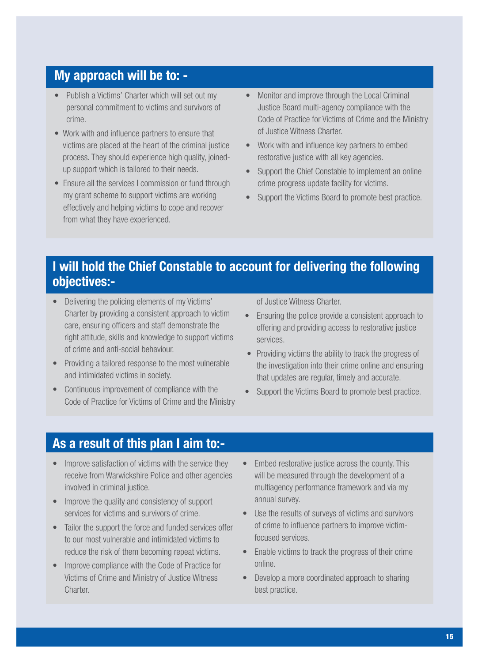### My approach will be to: -

- Publish a Victims' Charter which will set out my personal commitment to victims and survivors of crime.
- Work with and influence partners to ensure that victims are placed at the heart of the criminal justice process. They should experience high quality, joinedup support which is tailored to their needs.
- Ensure all the services I commission or fund through my grant scheme to support victims are working effectively and helping victims to cope and recover from what they have experienced.
- Monitor and improve through the Local Criminal Justice Board multi-agency compliance with the Code of Practice for Victims of Crime and the Ministry of Justice Witness Charter.
- Work with and influence key partners to embed restorative justice with all key agencies.
- Support the Chief Constable to implement an online crime progress update facility for victims.
- Support the Victims Board to promote best practice.

### I will hold the Chief Constable to account for delivering the following objectives:-

- Delivering the policing elements of my Victims' Charter by providing a consistent approach to victim care, ensuring officers and staff demonstrate the right attitude, skills and knowledge to support victims of crime and anti-social behaviour.
- Providing a tailored response to the most vulnerable and intimidated victims in society.
- Continuous improvement of compliance with the Code of Practice for Victims of Crime and the Ministry

of Justice Witness Charter.

- Ensuring the police provide a consistent approach to offering and providing access to restorative justice services.
- Providing victims the ability to track the progress of the investigation into their crime online and ensuring that updates are regular, timely and accurate.
- Support the Victims Board to promote best practice.

### As a result of this plan I aim to:-

- Improve satisfaction of victims with the service they receive from Warwickshire Police and other agencies involved in criminal justice.
- Improve the quality and consistency of support services for victims and survivors of crime.
- Tailor the support the force and funded services offer to our most vulnerable and intimidated victims to reduce the risk of them becoming repeat victims.
- Improve compliance with the Code of Practice for Victims of Crime and Ministry of Justice Witness Charter.
- Embed restorative justice across the county. This will be measured through the development of a multiagency performance framework and via my annual survey.
- Use the results of surveys of victims and survivors of crime to influence partners to improve victimfocused services.
- Enable victims to track the progress of their crime online.
- Develop a more coordinated approach to sharing best practice.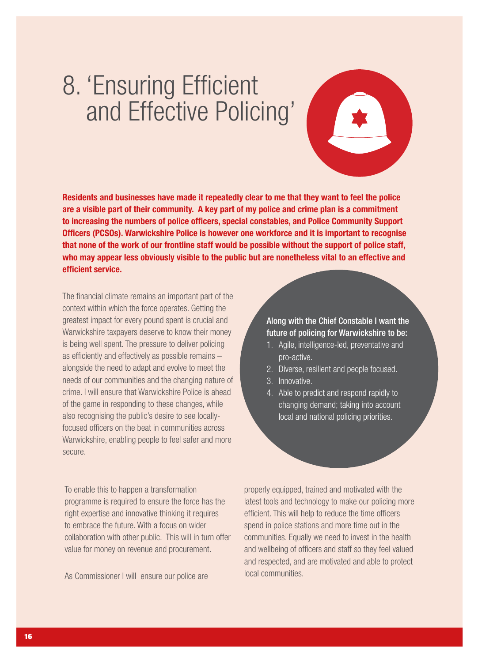## 8. 'Ensuring Efficient and Effective Policing'



Residents and businesses have made it repeatedly clear to me that they want to feel the police are a visible part of their community. A key part of my police and crime plan is a commitment to increasing the numbers of police officers, special constables, and Police Community Support Officers (PCSOs). Warwickshire Police is however one workforce and it is important to recognise that none of the work of our frontline staff would be possible without the support of police staff, who may appear less obviously visible to the public but are nonetheless vital to an effective and efficient service.

The financial climate remains an important part of the context within which the force operates. Getting the greatest impact for every pound spent is crucial and Warwickshire taxpayers deserve to know their money is being well spent. The pressure to deliver policing as efficiently and effectively as possible remains – alongside the need to adapt and evolve to meet the needs of our communities and the changing nature of crime. I will ensure that Warwickshire Police is ahead of the game in responding to these changes, while also recognising the public's desire to see locallyfocused officers on the beat in communities across Warwickshire, enabling people to feel safer and more secure.

To enable this to happen a transformation programme is required to ensure the force has the right expertise and innovative thinking it requires to embrace the future. With a focus on wider collaboration with other public. This will in turn offer value for money on revenue and procurement.

As Commissioner I will ensure our police are

Along with the Chief Constable I want the future of policing for Warwickshire to be:

- 1. Agile, intelligence-led, preventative and pro-active.
- 2. Diverse, resilient and people focused.
- 3. Innovative.
- 4. Able to predict and respond rapidly to changing demand; taking into account local and national policing priorities.

properly equipped, trained and motivated with the latest tools and technology to make our policing more efficient. This will help to reduce the time officers spend in police stations and more time out in the communities. Equally we need to invest in the health and wellbeing of officers and staff so they feel valued and respected, and are motivated and able to protect local communities.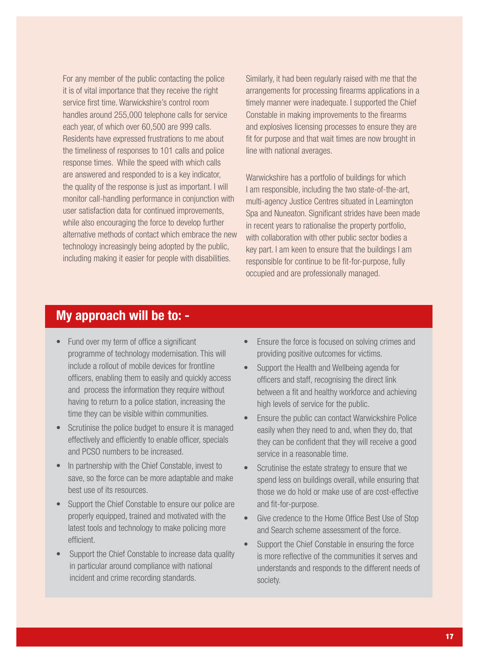For any member of the public contacting the police it is of vital importance that they receive the right service first time. Warwickshire's control room handles around 255,000 telephone calls for service each year, of which over 60,500 are 999 calls. Residents have expressed frustrations to me about the timeliness of responses to 101 calls and police response times. While the speed with which calls are answered and responded to is a key indicator, the quality of the response is just as important. I will monitor call-handling performance in conjunction with user satisfaction data for continued improvements, while also encouraging the force to develop further alternative methods of contact which embrace the new technology increasingly being adopted by the public, including making it easier for people with disabilities.

Similarly, it had been regularly raised with me that the arrangements for processing firearms applications in a timely manner were inadequate. I supported the Chief Constable in making improvements to the firearms and explosives licensing processes to ensure they are fit for purpose and that wait times are now brought in line with national averages.

Warwickshire has a portfolio of buildings for which I am responsible, including the two state-of-the-art, multi-agency Justice Centres situated in Leamington Spa and Nuneaton. Significant strides have been made in recent years to rationalise the property portfolio, with collaboration with other public sector bodies a key part. I am keen to ensure that the buildings I am responsible for continue to be fit-for-purpose, fully occupied and are professionally managed.

### My approach will be to: -

- Fund over my term of office a significant programme of technology modernisation. This will include a rollout of mobile devices for frontline officers, enabling them to easily and quickly access and process the information they require without having to return to a police station, increasing the time they can be visible within communities.
- Scrutinise the police budget to ensure it is managed effectively and efficiently to enable officer, specials and PCSO numbers to be increased.
- In partnership with the Chief Constable, invest to save, so the force can be more adaptable and make best use of its resources.
- Support the Chief Constable to ensure our police are properly equipped, trained and motivated with the latest tools and technology to make policing more efficient.
- Support the Chief Constable to increase data quality in particular around compliance with national incident and crime recording standards.
- Ensure the force is focused on solving crimes and providing positive outcomes for victims.
- Support the Health and Wellbeing agenda for officers and staff, recognising the direct link between a fit and healthy workforce and achieving high levels of service for the public.
- Ensure the public can contact Warwickshire Police easily when they need to and, when they do, that they can be confident that they will receive a good service in a reasonable time.
- Scrutinise the estate strategy to ensure that we spend less on buildings overall, while ensuring that those we do hold or make use of are cost-effective and fit-for-purpose.
- Give credence to the Home Office Best Use of Stop and Search scheme assessment of the force.
- Support the Chief Constable in ensuring the force is more reflective of the communities it serves and understands and responds to the different needs of society.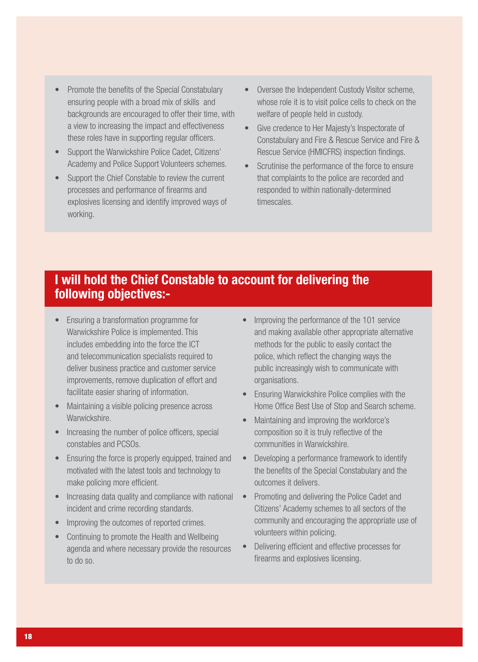- Promote the benefits of the Special Constabulary ensuring people with a broad mix of skills and backgrounds are encouraged to offer their time, with a view to increasing the impact and effectiveness these roles have in supporting regular officers.
- Support the Warwickshire Police Cadet, Citizens' Academy and Police Support Volunteers schemes.
- Support the Chief Constable to review the current processes and performance of firearms and explosives licensing and identify improved ways of working.
- Oversee the Independent Custody Visitor scheme, whose role it is to visit police cells to check on the welfare of people held in custody.
- Give credence to Her Majesty's Inspectorate of Constabulary and Fire & Rescue Service and Fire & Rescue Service (HMICFRS) inspection findings.
- Scrutinise the performance of the force to ensure that complaints to the police are recorded and responded to within nationally-determined timescales.

### I will hold the Chief Constable to account for delivering the following objectives:-

- Ensuring a transformation programme for Warwickshire Police is implemented. This includes embedding into the force the ICT and telecommunication specialists required to deliver business practice and customer service improvements, remove duplication of effort and facilitate easier sharing of information.
- Maintaining a visible policing presence across Warwickshire.
- Increasing the number of police officers, special constables and PCSOs.
- Ensuring the force is properly equipped, trained and motivated with the latest tools and technology to make policing more efficient.
- Increasing data quality and compliance with national incident and crime recording standards.
- Improving the outcomes of reported crimes.
- Continuing to promote the Health and Wellbeing agenda and where necessary provide the resources to do so.
- Improving the performance of the 101 service and making available other appropriate alternative methods for the public to easily contact the police, which reflect the changing ways the public increasingly wish to communicate with organisations.
- Ensuring Warwickshire Police complies with the Home Office Best Use of Stop and Search scheme.
- Maintaining and improving the workforce's composition so it is truly reflective of the communities in Warwickshire.
- Developing a performance framework to identify the benefits of the Special Constabulary and the outcomes it delivers.
- Promoting and delivering the Police Cadet and Citizens' Academy schemes to all sectors of the community and encouraging the appropriate use of volunteers within policing.
- Delivering efficient and effective processes for firearms and explosives licensing.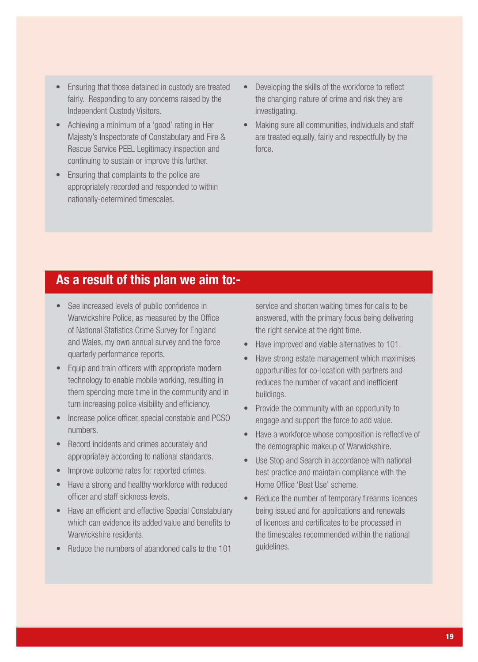- Ensuring that those detained in custody are treated fairly. Responding to any concerns raised by the Independent Custody Visitors.
- Achieving a minimum of a 'good' rating in Her Majesty's Inspectorate of Constabulary and Fire & Rescue Service PEEL Legitimacy inspection and continuing to sustain or improve this further.
- Ensuring that complaints to the police are appropriately recorded and responded to within nationally-determined timescales.
- Developing the skills of the workforce to reflect the changing nature of crime and risk they are investigating.
- Making sure all communities, individuals and staff are treated equally, fairly and respectfully by the force.

#### As a result of this plan we aim to:-

- See increased levels of public confidence in Warwickshire Police, as measured by the Office of National Statistics Crime Survey for England and Wales, my own annual survey and the force quarterly performance reports.
- Equip and train officers with appropriate modern technology to enable mobile working, resulting in them spending more time in the community and in turn increasing police visibility and efficiency.
- Increase police officer, special constable and PCSO numbers.
- Record incidents and crimes accurately and appropriately according to national standards.
- Improve outcome rates for reported crimes.
- Have a strong and healthy workforce with reduced officer and staff sickness levels.
- Have an efficient and effective Special Constabulary which can evidence its added value and benefits to Warwickshire residents.
- Reduce the numbers of abandoned calls to the 101

service and shorten waiting times for calls to be answered, with the primary focus being delivering the right service at the right time.

- Have improved and viable alternatives to 101.
- Have strong estate management which maximises opportunities for co-location with partners and reduces the number of vacant and inefficient buildings.
- Provide the community with an opportunity to engage and support the force to add value.
- Have a workforce whose composition is reflective of the demographic makeup of Warwickshire.
- Use Stop and Search in accordance with national best practice and maintain compliance with the Home Office 'Best Use' scheme.
- Reduce the number of temporary firearms licences being issued and for applications and renewals of licences and certificates to be processed in the timescales recommended within the national guidelines.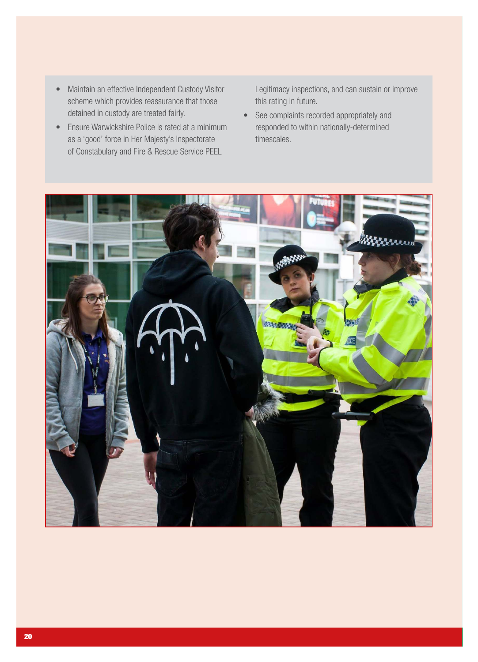- Maintain an effective Independent Custody Visitor scheme which provides reassurance that those detained in custody are treated fairly.
- Ensure Warwickshire Police is rated at a minimum as a 'good' force in Her Majesty's Inspectorate of Constabulary and Fire & Rescue Service PEEL

Legitimacy inspections, and can sustain or improve this rating in future.

• See complaints recorded appropriately and responded to within nationally-determined timescales.

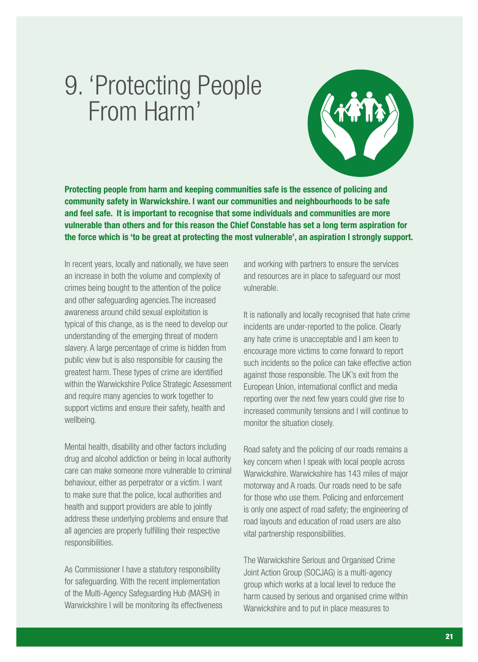## 9. 'Protecting People From Harm'

Protecting people from harm and keeping communities safe is the essence of policing and community safety in Warwickshire. I want our communities and neighbourhoods to be safe and feel safe. It is important to recognise that some individuals and communities are more vulnerable than others and for this reason the Chief Constable has set a long term aspiration for the force which is 'to be great at protecting the most vulnerable', an aspiration I strongly support.

In recent years, locally and nationally, we have seen an increase in both the volume and complexity of crimes being bought to the attention of the police and other safeguarding agencies.The increased awareness around child sexual exploitation is typical of this change, as is the need to develop our understanding of the emerging threat of modern slavery. A large percentage of crime is hidden from public view but is also responsible for causing the greatest harm. These types of crime are identified within the Warwickshire Police Strategic Assessment and require many agencies to work together to support victims and ensure their safety, health and wellbeing.

Mental health, disability and other factors including drug and alcohol addiction or being in local authority care can make someone more vulnerable to criminal behaviour, either as perpetrator or a victim. I want to make sure that the police, local authorities and health and support providers are able to jointly address these underlying problems and ensure that all agencies are properly fulfilling their respective responsibilities.

As Commissioner I have a statutory responsibility for safeguarding. With the recent implementation of the Multi-Agency Safeguarding Hub (MASH) in Warwickshire I will be monitoring its effectiveness

and working with partners to ensure the services and resources are in place to safeguard our most vulnerable.

It is nationally and locally recognised that hate crime incidents are under-reported to the police. Clearly any hate crime is unacceptable and I am keen to encourage more victims to come forward to report such incidents so the police can take effective action against those responsible. The UK's exit from the European Union, international conflict and media reporting over the next few years could give rise to increased community tensions and I will continue to monitor the situation closely.

Road safety and the policing of our roads remains a key concern when I speak with local people across Warwickshire. Warwickshire has 143 miles of major motorway and A roads. Our roads need to be safe for those who use them. Policing and enforcement is only one aspect of road safety; the engineering of road layouts and education of road users are also vital partnership responsibilities.

The Warwickshire Serious and Organised Crime Joint Action Group (SOCJAG) is a multi-agency group which works at a local level to reduce the harm caused by serious and organised crime within Warwickshire and to put in place measures to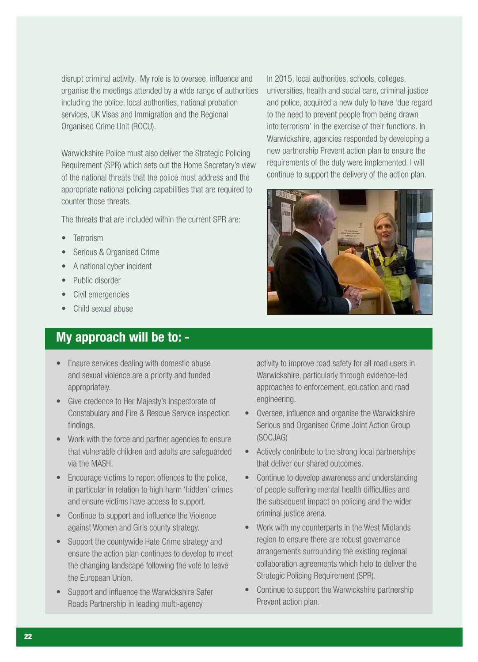disrupt criminal activity. My role is to oversee, influence and organise the meetings attended by a wide range of authorities including the police, local authorities, national probation services, UK Visas and Immigration and the Regional Organised Crime Unit (ROCU).

Warwickshire Police must also deliver the Strategic Policing Requirement (SPR) which sets out the Home Secretary's view of the national threats that the police must address and the appropriate national policing capabilities that are required to counter those threats.

The threats that are included within the current SPR are:

- **Terrorism**
- Serious & Organised Crime
- A national cyber incident
- Public disorder
- Civil emergencies
- Child sexual abuse

### My approach will be to: -

- Ensure services dealing with domestic abuse and sexual violence are a priority and funded appropriately.
- Give credence to Her Majesty's Inspectorate of Constabulary and Fire & Rescue Service inspection findings.
- Work with the force and partner agencies to ensure that vulnerable children and adults are safeguarded via the MASH.
- Encourage victims to report offences to the police, in particular in relation to high harm 'hidden' crimes and ensure victims have access to support.
- Continue to support and influence the Violence against Women and Girls county strategy.
- Support the countywide Hate Crime strategy and ensure the action plan continues to develop to meet the changing landscape following the vote to leave the European Union.
- Support and influence the Warwickshire Safer Roads Partnership in leading multi-agency

In 2015, local authorities, schools, colleges, universities, health and social care, criminal justice and police, acquired a new duty to have 'due regard to the need to prevent people from being drawn into terrorism' in the exercise of their functions. In Warwickshire, agencies responded by developing a new partnership Prevent action plan to ensure the requirements of the duty were implemented. I will continue to support the delivery of the action plan.



activity to improve road safety for all road users in Warwickshire, particularly through evidence-led approaches to enforcement, education and road engineering.

- Oversee, influence and organise the Warwickshire Serious and Organised Crime Joint Action Group (SOCJAG)
- Actively contribute to the strong local partnerships that deliver our shared outcomes.
- Continue to develop awareness and understanding of people suffering mental health difficulties and the subsequent impact on policing and the wider criminal justice arena.
- Work with my counterparts in the West Midlands region to ensure there are robust governance arrangements surrounding the existing regional collaboration agreements which help to deliver the Strategic Policing Requirement (SPR).
- Continue to support the Warwickshire partnership Prevent action plan.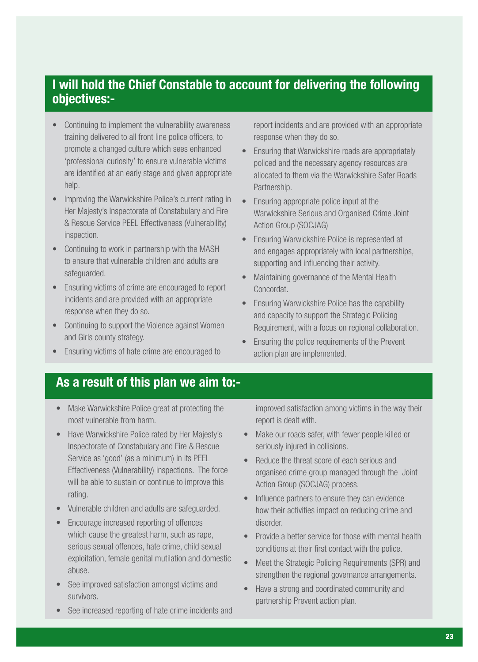### I will hold the Chief Constable to account for delivering the following objectives:-

- Continuing to implement the vulnerability awareness training delivered to all front line police officers, to promote a changed culture which sees enhanced 'professional curiosity' to ensure vulnerable victims are identified at an early stage and given appropriate help.
- Improving the Warwickshire Police's current rating in Her Majesty's Inspectorate of Constabulary and Fire & Rescue Service PEEL Effectiveness (Vulnerability) inspection.
- Continuing to work in partnership with the MASH to ensure that vulnerable children and adults are safeguarded.
- Ensuring victims of crime are encouraged to report incidents and are provided with an appropriate response when they do so.
- Continuing to support the Violence against Women and Girls county strategy.
- Ensuring victims of hate crime are encouraged to

report incidents and are provided with an appropriate response when they do so.

- Ensuring that Warwickshire roads are appropriately policed and the necessary agency resources are allocated to them via the Warwickshire Safer Roads Partnership.
- Ensuring appropriate police input at the Warwickshire Serious and Organised Crime Joint Action Group (SOCJAG)
- Ensuring Warwickshire Police is represented at and engages appropriately with local partnerships, supporting and influencing their activity.
- Maintaining governance of the Mental Health Concordat.
- Ensuring Warwickshire Police has the capability and capacity to support the Strategic Policing Requirement, with a focus on regional collaboration.
- Ensuring the police requirements of the Prevent action plan are implemented.

### As a result of this plan we aim to:-

- Make Warwickshire Police great at protecting the most vulnerable from harm.
- Have Warwickshire Police rated by Her Majesty's Inspectorate of Constabulary and Fire & Rescue Service as 'good' (as a minimum) in its PEEL Effectiveness (Vulnerability) inspections. The force will be able to sustain or continue to improve this rating.
- Vulnerable children and adults are safeguarded.
- Encourage increased reporting of offences which cause the greatest harm, such as rape, serious sexual offences, hate crime, child sexual exploitation, female genital mutilation and domestic abuse.
- See improved satisfaction amongst victims and survivors.
- See increased reporting of hate crime incidents and

improved satisfaction among victims in the way their report is dealt with.

- Make our roads safer, with fewer people killed or seriously injured in collisions.
- Reduce the threat score of each serious and organised crime group managed through the Joint Action Group (SOCJAG) process.
- Influence partners to ensure they can evidence how their activities impact on reducing crime and disorder.
- Provide a better service for those with mental health conditions at their first contact with the police.
- Meet the Strategic Policing Requirements (SPR) and strengthen the regional governance arrangements.
- Have a strong and coordinated community and partnership Prevent action plan.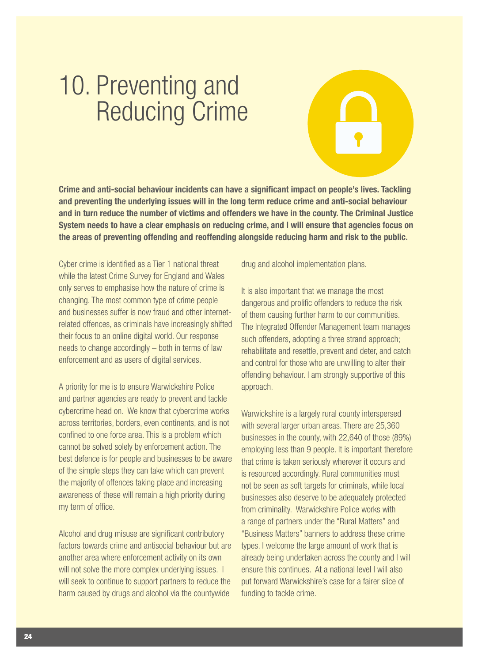## 10. Preventing and Reducing Crime

Crime and anti-social behaviour incidents can have a significant impact on people's lives. Tackling and preventing the underlying issues will in the long term reduce crime and anti-social behaviour and in turn reduce the number of victims and offenders we have in the county. The Criminal Justice System needs to have a clear emphasis on reducing crime, and I will ensure that agencies focus on the areas of preventing offending and reoffending alongside reducing harm and risk to the public.

Cyber crime is identified as a Tier 1 national threat while the latest Crime Survey for England and Wales only serves to emphasise how the nature of crime is changing. The most common type of crime people and businesses suffer is now fraud and other internetrelated offences, as criminals have increasingly shifted their focus to an online digital world. Our response needs to change accordingly – both in terms of law enforcement and as users of digital services.

A priority for me is to ensure Warwickshire Police and partner agencies are ready to prevent and tackle cybercrime head on. We know that cybercrime works across territories, borders, even continents, and is not confined to one force area. This is a problem which cannot be solved solely by enforcement action. The best defence is for people and businesses to be aware of the simple steps they can take which can prevent the majority of offences taking place and increasing awareness of these will remain a high priority during my term of office.

Alcohol and drug misuse are significant contributory factors towards crime and antisocial behaviour but are another area where enforcement activity on its own will not solve the more complex underlying issues. I will seek to continue to support partners to reduce the harm caused by drugs and alcohol via the countywide

drug and alcohol implementation plans.

It is also important that we manage the most dangerous and prolific offenders to reduce the risk of them causing further harm to our communities. The Integrated Offender Management team manages such offenders, adopting a three strand approach; rehabilitate and resettle, prevent and deter, and catch and control for those who are unwilling to alter their offending behaviour. I am strongly supportive of this approach.

Warwickshire is a largely rural county interspersed with several larger urban areas. There are 25,360 businesses in the county, with 22,640 of those (89%) employing less than 9 people. It is important therefore that crime is taken seriously wherever it occurs and is resourced accordingly. Rural communities must not be seen as soft targets for criminals, while local businesses also deserve to be adequately protected from criminality. Warwickshire Police works with a range of partners under the "Rural Matters" and "Business Matters" banners to address these crime types. I welcome the large amount of work that is already being undertaken across the county and I will ensure this continues. At a national level I will also put forward Warwickshire's case for a fairer slice of funding to tackle crime.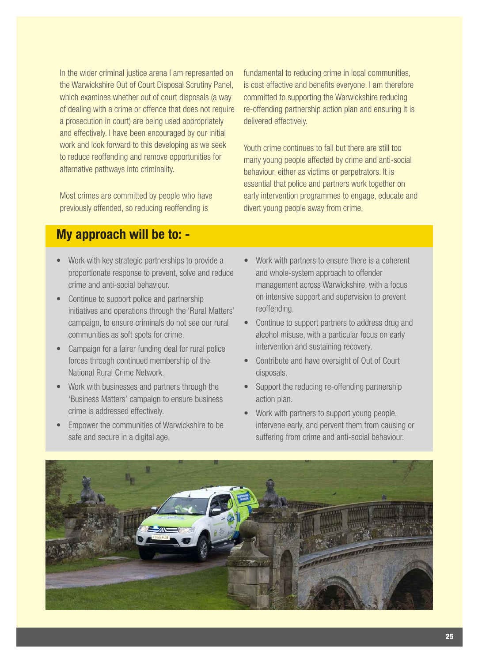In the wider criminal justice arena I am represented on the Warwickshire Out of Court Disposal Scrutiny Panel, which examines whether out of court disposals (a way of dealing with a crime or offence that does not require a prosecution in court) are being used appropriately and effectively. I have been encouraged by our initial work and look forward to this developing as we seek to reduce reoffending and remove opportunities for alternative pathways into criminality.

Most crimes are committed by people who have previously offended, so reducing reoffending is

fundamental to reducing crime in local communities, is cost effective and benefits everyone. I am therefore committed to supporting the Warwickshire reducing re-offending partnership action plan and ensuring it is delivered effectively.

Youth crime continues to fall but there are still too many young people affected by crime and anti-social behaviour, either as victims or perpetrators. It is essential that police and partners work together on early intervention programmes to engage, educate and divert young people away from crime.

### My approach will be to: -

- Work with key strategic partnerships to provide a proportionate response to prevent, solve and reduce crime and anti-social behaviour.
- Continue to support police and partnership initiatives and operations through the 'Rural Matters' campaign, to ensure criminals do not see our rural communities as soft spots for crime.
- Campaign for a fairer funding deal for rural police forces through continued membership of the National Rural Crime Network.
- Work with businesses and partners through the 'Business Matters' campaign to ensure business crime is addressed effectively.
- Empower the communities of Warwickshire to be safe and secure in a digital age.
- Work with partners to ensure there is a coherent and whole-system approach to offender management across Warwickshire, with a focus on intensive support and supervision to prevent reoffending.
- Continue to support partners to address drug and alcohol misuse, with a particular focus on early intervention and sustaining recovery.
- Contribute and have oversight of Out of Court disposals.
- Support the reducing re-offending partnership action plan.
- Work with partners to support young people, intervene early, and pervent them from causing or suffering from crime and anti-social behaviour.

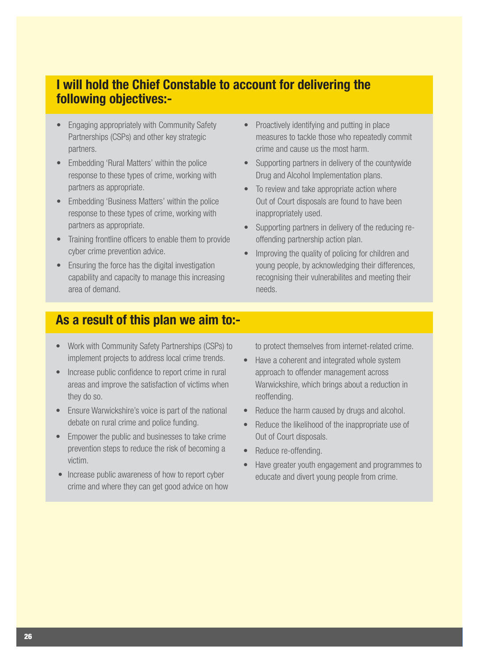### I will hold the Chief Constable to account for delivering the following objectives:-

- Engaging appropriately with Community Safety Partnerships (CSPs) and other key strategic partners.
- Embedding 'Rural Matters' within the police response to these types of crime, working with partners as appropriate.
- Embedding 'Business Matters' within the police response to these types of crime, working with partners as appropriate.
- Training frontline officers to enable them to provide cyber crime prevention advice.
- Ensuring the force has the digital investigation capability and capacity to manage this increasing area of demand.
- Proactively identifying and putting in place measures to tackle those who repeatedly commit crime and cause us the most harm.
- Supporting partners in delivery of the countywide Drug and Alcohol Implementation plans.
- To review and take appropriate action where Out of Court disposals are found to have been inappropriately used.
- Supporting partners in delivery of the reducing reoffending partnership action plan.
- Improving the quality of policing for children and young people, by acknowledging their differences, recognising their vulnerabilites and meeting their needs.

### As a result of this plan we aim to:-

- Work with Community Safety Partnerships (CSPs) to implement projects to address local crime trends.
- Increase public confidence to report crime in rural areas and improve the satisfaction of victims when they do so.
- Ensure Warwickshire's voice is part of the national debate on rural crime and police funding.
- Empower the public and businesses to take crime prevention steps to reduce the risk of becoming a victim.
- Increase public awareness of how to report cyber crime and where they can get good advice on how

to protect themselves from internet-related crime.

- Have a coherent and integrated whole system approach to offender management across Warwickshire, which brings about a reduction in reoffending.
- Reduce the harm caused by drugs and alcohol.
- Reduce the likelihood of the inappropriate use of Out of Court disposals.
- Reduce re-offending.
- Have greater youth engagement and programmes to educate and divert young people from crime.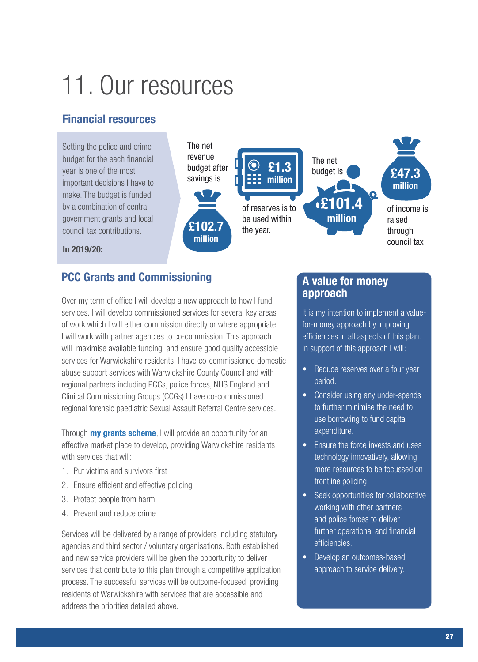## 11. Our resources

#### Financial resources

Setting the police and crime budget for the each financial year is one of the most important decisions I have to make. The budget is funded by a combination of central government grants and local council tax contributions.







In 2019/20:

#### PCC Grants and Commissioning

Over my term of office I will develop a new approach to how I fund services. I will develop commissioned services for several key areas of work which I will either commission directly or where appropriate I will work with partner agencies to co-commission. This approach will maximise available funding and ensure good quality accessible services for Warwickshire residents. I have co-commissioned domestic abuse support services with Warwickshire County Council and with regional partners including PCCs, police forces, NHS England and Clinical Commissioning Groups (CCGs) I have co-commissioned regional forensic paediatric Sexual Assault Referral Centre services.

Through **my grants scheme**, I will provide an opportunity for an effective market place to develop, providing Warwickshire residents with services that will:

- 1. Put victims and survivors first
- 2. Ensure efficient and effective policing
- 3. Protect people from harm
- 4. Prevent and reduce crime

Services will be delivered by a range of providers including statutory agencies and third sector / voluntary organisations. Both established and new service providers will be given the opportunity to deliver services that contribute to this plan through a competitive application process. The successful services will be outcome-focused, providing residents of Warwickshire with services that are accessible and address the priorities detailed above.

#### A value for money approach

It is my intention to implement a valuefor-money approach by improving efficiencies in all aspects of this plan. In support of this approach I will:

- Reduce reserves over a four year period.
- Consider using any under-spends to further minimise the need to use borrowing to fund capital expenditure.
- Ensure the force invests and uses technology innovatively, allowing more resources to be focussed on frontline policing.
- Seek opportunities for collaborative working with other partners and police forces to deliver further operational and financial efficiencies.
- Develop an outcomes-based approach to service delivery.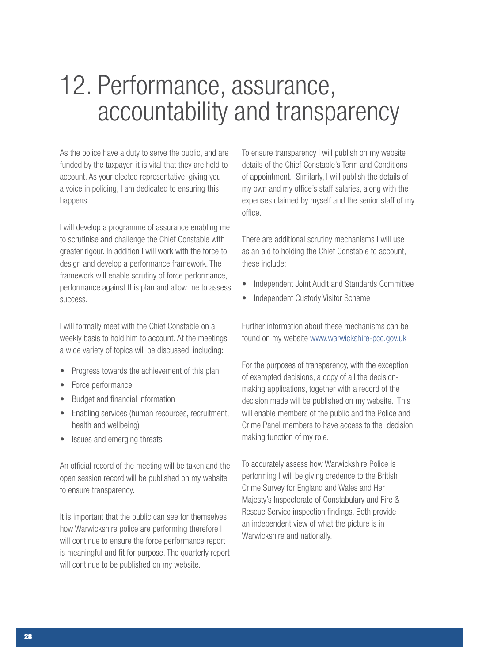## 12. Performance, assurance, accountability and transparency

As the police have a duty to serve the public, and are funded by the taxpayer, it is vital that they are held to account. As your elected representative, giving you a voice in policing, I am dedicated to ensuring this happens.

I will develop a programme of assurance enabling me to scrutinise and challenge the Chief Constable with greater rigour. In addition I will work with the force to design and develop a performance framework. The framework will enable scrutiny of force performance, performance against this plan and allow me to assess success.

I will formally meet with the Chief Constable on a weekly basis to hold him to account. At the meetings a wide variety of topics will be discussed, including:

- Progress towards the achievement of this plan
- Force performance
- Budget and financial information
- Enabling services (human resources, recruitment, health and wellbeing)
- Issues and emerging threats

An official record of the meeting will be taken and the open session record will be published on my website to ensure transparency.

It is important that the public can see for themselves how Warwickshire police are performing therefore I will continue to ensure the force performance report is meaningful and fit for purpose. The quarterly report will continue to be published on my website.

To ensure transparency I will publish on my website details of the Chief Constable's Term and Conditions of appointment. Similarly, I will publish the details of my own and my office's staff salaries, along with the expenses claimed by myself and the senior staff of my office.

There are additional scrutiny mechanisms I will use as an aid to holding the Chief Constable to account, these include:

- Independent Joint Audit and Standards Committee
- Independent Custody Visitor Scheme

Further information about these mechanisms can be found on my website www.warwickshire-pcc.gov.uk

For the purposes of transparency, with the exception of exempted decisions, a copy of all the decisionmaking applications, together with a record of the decision made will be published on my website. This will enable members of the public and the Police and Crime Panel members to have access to the decision making function of my role.

To accurately assess how Warwickshire Police is performing I will be giving credence to the British Crime Survey for England and Wales and Her Majesty's Inspectorate of Constabulary and Fire & Rescue Service inspection findings. Both provide an independent view of what the picture is in Warwickshire and nationally.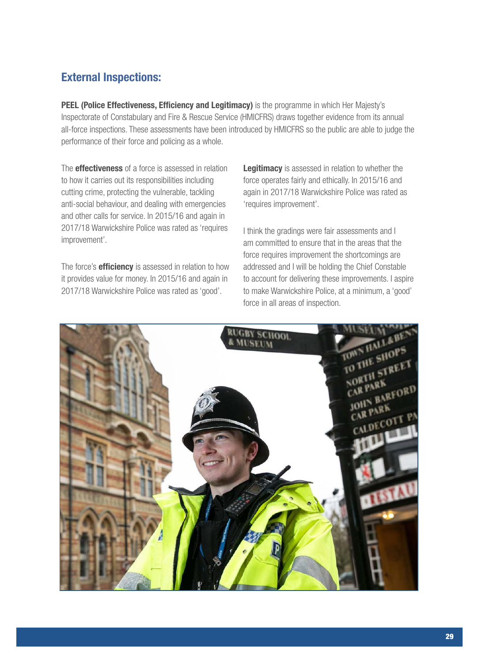### External Inspections:

PEEL (Police Effectiveness, Efficiency and Legitimacy) is the programme in which Her Majesty's Inspectorate of Constabulary and Fire & Rescue Service (HMICFRS) draws together evidence from its annual all-force inspections. These assessments have been introduced by HMICFRS so the public are able to judge the performance of their force and policing as a whole.

The **effectiveness** of a force is assessed in relation to how it carries out its responsibilities including cutting crime, protecting the vulnerable, tackling anti-social behaviour, and dealing with emergencies and other calls for service. In 2015/16 and again in 2017/18 Warwickshire Police was rated as 'requires improvement'.

The force's **efficiency** is assessed in relation to how it provides value for money. In 2015/16 and again in 2017/18 Warwickshire Police was rated as 'good'.

Legitimacy is assessed in relation to whether the force operates fairly and ethically. In 2015/16 and again in 2017/18 Warwickshire Police was rated as 'requires improvement'.

I think the gradings were fair assessments and I am committed to ensure that in the areas that the force requires improvement the shortcomings are addressed and I will be holding the Chief Constable to account for delivering these improvements. I aspire to make Warwickshire Police, at a minimum, a 'good' force in all areas of inspection.

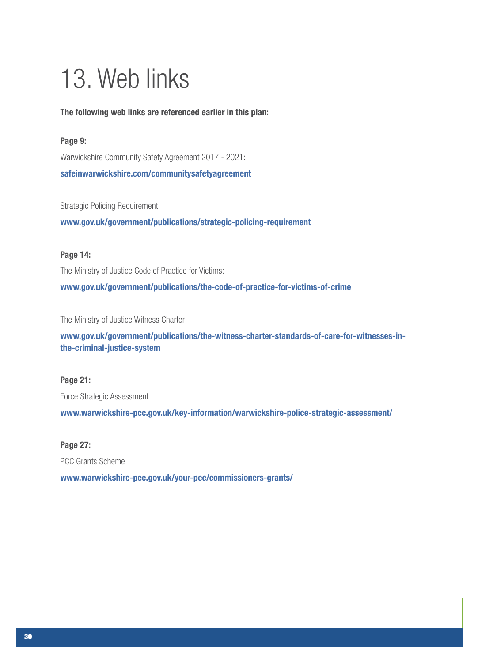## 13. Web links

#### The following web links are referenced earlier in this plan:

#### Page 9:

Warwickshire Community Safety Agreement 2017 - 2021: safeinwarwickshire.com/communitysafetyagreement

Strategic Policing Requirement:

www.gov.uk/government/publications/strategic-policing-requirement

#### Page 14:

The Ministry of Justice Code of Practice for Victims:

www.gov.uk/government/publications/the-code-of-practice-for-victims-of-crime

The Ministry of Justice Witness Charter:

www.gov.uk/government/publications/the-witness-charter-standards-of-care-for-witnesses-inthe-criminal-justice-system

#### Page 21:

Force Strategic Assessment

www.warwickshire-pcc.gov.uk/key-information/warwickshire-police-strategic-assessment/

#### Page 27:

PCC Grants Scheme

www.warwickshire-pcc.gov.uk/your-pcc/commissioners-grants/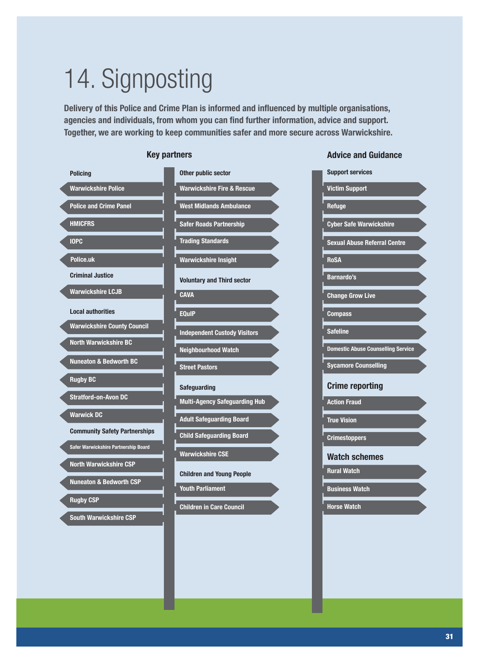# 14. Signposting

Delivery of this Police and Crime Plan is informed and influenced by multiple organisations, agencies and individuals, from whom you can find further information, advice and support. Together, we are working to keep communities safer and more secure across Warwickshire.



#### Key partners **Advice and Guidance Advice and Guidance**

| <b>Support services</b>                   |  |
|-------------------------------------------|--|
| <b>Victim Support</b>                     |  |
| Refuge                                    |  |
| <b>Cyber Safe Warwickshire</b>            |  |
| <b>Sexual Abuse Referral Centre</b>       |  |
| <b>RoSA</b>                               |  |
| <b>Barnardo's</b>                         |  |
| <b>Change Grow Live</b>                   |  |
| <b>Compass</b>                            |  |
| <b>Safeline</b>                           |  |
|                                           |  |
| <b>Domestic Abuse Counselling Service</b> |  |
| <b>Sycamore Counselling</b>               |  |
| <b>Crime reporting</b>                    |  |
| <b>Action Fraud</b>                       |  |
| <b>True Vision</b>                        |  |
| <b>Crimestoppers</b>                      |  |
| <b>Watch schemes</b>                      |  |
| <b>Rural Watch</b>                        |  |
| <b>Business Watch</b>                     |  |